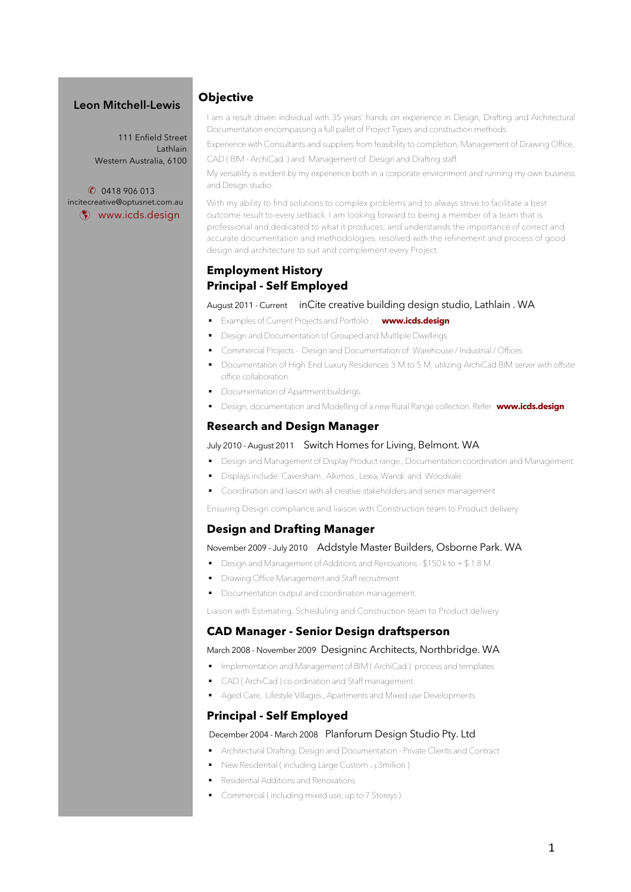### **Leon Mitchell-Lewis**

111 Enfield Street Lathlain Western Australia, 6100

 ✆ 0418 906 013 incitecreative@optusnet.com.au þ www.icds.design

### **Objective**

I am a result driven individual with 35 years' hands on experience in Design, Drafting and Architectural Documentation encompassing a full pallet of Project Types and construction methods.

Experience with Consultants and suppliers from feasibility to completion, Management of Drawing Office, CAD ( BIM - ArchiCad ) and Management of Design and Drafting staff.

My versatility is evident by my experience both in a corporate environment and running my own business and Design studio.

With my ability to find solutions to complex problems and to always strive to facilitate a best outcome result to every setback. I am looking forward to being a member of a team that is professional and dedicated to what it produces; and understands the importance of correct and accurate documentation and methodologies, resolved with the refinement and process of good design and architecture to suit and complement every Project.

## **Employment History Principal - Self Employed**

August 2011 - Current inCite creative building design studio, Lathlain . WA

- § Examples of Current Projects and Portfolio ; **www.icds.design**
- § Design and Documentation of Grouped and Multliple Dwellings.
- § Commercial Projects Design and Documentation of Warehouse / Industrial / Offices
	- § Documentation of High End Luxury Residences 3 M to 5 M, utilizing ArchiCad BIM server with offsite office collaboration.
- § Documentation of Apartment buildings.
- § Design, documentation and Modelling of a new Rural Range collection. Refer **www.icds.design**

### **Research and Design Manager**

#### July 2010 - August 2011 Switch Homes for Living, Belmont. WA

- Design and Management of Display Product range., Documentation coordination and Management.
- § Displays include: Caversham , Alkimos , Lexia, Wandi and Woodvale.
- § Coordination and liaison with all creative stakeholders and senior management

Ensuring Design compliance and liaison with Construction team to Product delivery

#### **Design and Drafting Manager**

#### November 2009 - July 2010 Addstyle Master Builders, Osborne Park. WA

- § Design and Management of Additions and Renovations \$150 k to + \$ 1.8 M .
- **Drawing Office Management and Staff recruitment.**
- § Documentation output and coordination management.

Liaison with Estimating, Scheduling and Construction team to Product delivery

#### **CAD Manager - Senior Design draftsperson**

#### March 2008 - November 2009 Designinc Architects, Northbridge. WA

- Implementation and Management of BIM (ArchiCad) process and templates.
	- CAD (ArchiCad) co ordination and Staff management
	- § Aged Care, Lifestyle Villages , Apartments and Mixed use Developments

#### **Principal - Self Employed**

#### December 2004 - March 2008 Planforum Design Studio Pty. Ltd

- § Architectural Drafting, Design and Documentation Private Clients and Contract
- **New Residential ( including Large Custom + \$ 3 million )**
- § Residential Additions and Renovations
- § Commercial ( including mixed use, up to 7 Storeys )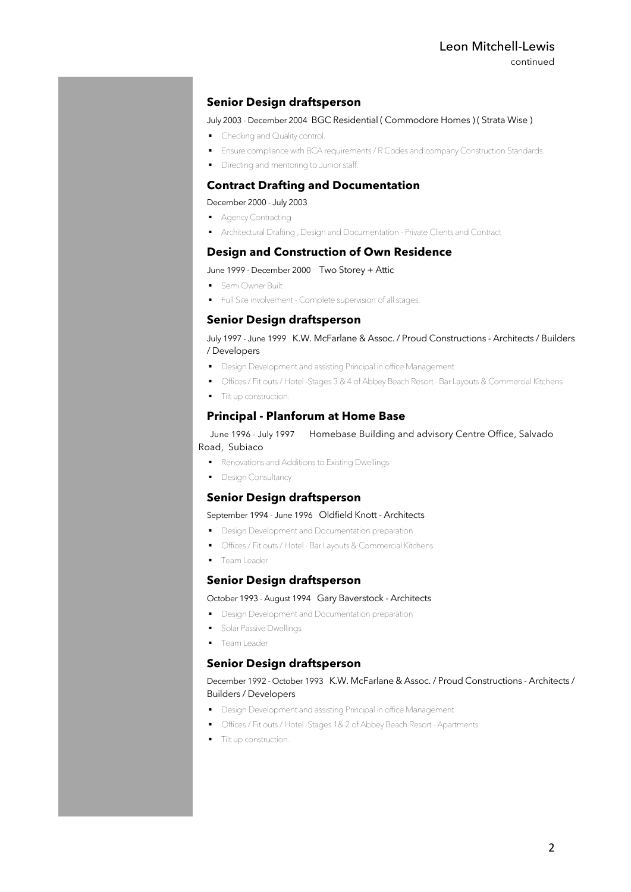continued

### **Senior Design draftsperson**

#### July 2003 - December 2004 BGC Residential ( Commodore Homes ) ( Strata Wise )

- Checking and Quality control.
- **Ensure compliance with BCA requirements / R Codes and company Construction Standards.**
- **•** Directing and mentoring to Junior staff.

## **Contract Drafting and Documentation**

December 2000 - July 2003

- Agency Contracting
- § Architectural Drafting , Design and Documentation Private Clients and Contract

### **Design and Construction of Own Residence**

#### June 1999 - December 2000 Two Storey + Attic

- Semi Owner Built
- § Full Site involvement Complete supervision of all stages.

### **Senior Design draftsperson**

#### July 1997 - June 1999 K.W. McFarlane & Assoc. / Proud Constructions - Architects / Builders / Developers

- Design Development and assisting Principal in office Management
- § Offices / Fit outs / Hotel -Stages 3 & 4 of Abbey Beach Resort Bar Layouts & Commercial Kitchens
- § Tilt up construction.

### **Principal - Planforum at Home Base**

### June 1996 - July 1997 Homebase Building and advisory Centre Office, Salvado Road, Subiaco

- § Renovations and Additions to Existing Dwellings
- Design Consultancy

### **Senior Design draftsperson**

#### September 1994 - June 1996 Oldfield Knott - Architects

- **•** Design Development and Documentation preparation
- § Offices / Fit outs / Hotel Bar Layouts & Commercial Kitchens
- **•** Team Leader

#### **Senior Design draftsperson**

#### October 1993 - August 1994 Gary Baverstock - Architects

- Design Development and Documentation preparation
- **•** Solar Passive Dwellings
- Team Leader

#### **Senior Design draftsperson**

#### December 1992 - October 1993 K.W. McFarlane & Assoc. / Proud Constructions - Architects / Builders / Developers

- Design Development and assisting Principal in office Management
- § Offices / Fit outs / Hotel -Stages 1& 2 of Abbey Beach Resort Apartments
- **•** Tilt up construction.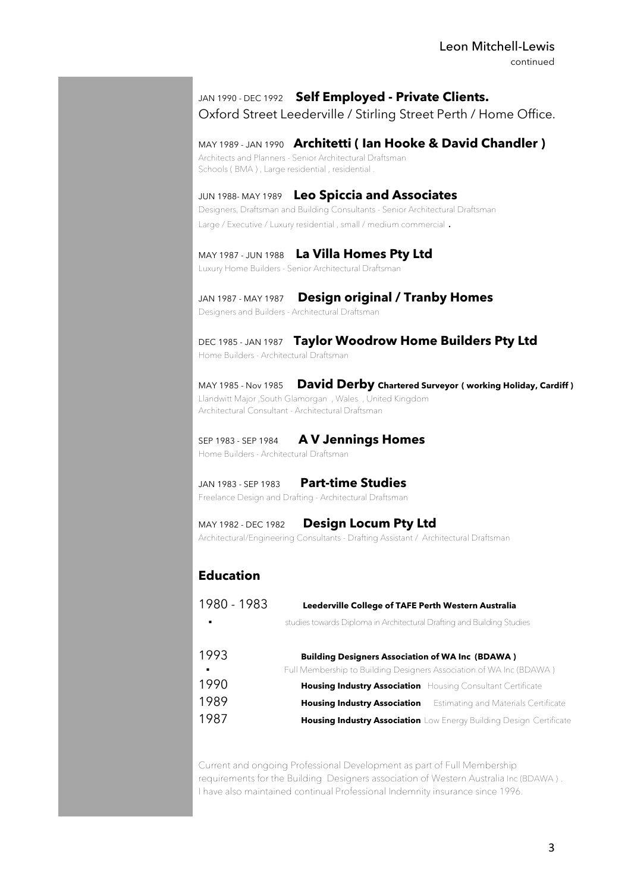## JAN 1990 - DEC 1992 **Self Employed - Private Clients.**

Oxford Street Leederville / Stirling Street Perth / Home Office.

## MAY 1989 - JAN 1990 **Architetti ( Ian Hooke & David Chandler )**

Architects and Planners - Senior Architectural Draftsman Schools (BMA), Large residential, residential

## JUN 1988- MAY 1989 **Leo Spiccia and Associates**

Designers, Draftsman and Building Consultants - Senior Architectural Draftsman Large / Executive / Luxury residential , small / medium commercial .

### MAY 1987 - JUN 1988 **La Villa Homes Pty Ltd**

Luxury Home Builders - Senior Architectural Draftsman

## JAN 1987 - MAY 1987 **Design original / Tranby Homes**

Designers and Builders - Architectural Draftsman

### DEC 1985 - JAN 1987 **Taylor Woodrow Home Builders Pty Ltd** Home Builders - Architectural Draftsman

MAY 1985 - Nov 1985 **David Derby Chartered Surveyor ( working Holiday, Cardiff )** Llandwitt Major ,South Glamorgan , Wales , United Kingdom Architectural Consultant - Architectural Draftsman

#### SEP 1983 - SEP 1984 **A V Jennings Homes**

Home Builders - Architectural Draftsman

## JAN 1983 - SEP 1983 **Part-time Studies**

Freelance Design and Drafting - Architectural Draftsman

## MAY 1982 - DEC 1982 **Design Locum Pty Ltd**

Architectural/Engineering Consultants - Drafting Assistant / Architectural Draftsman

# **Education**

| 1980 - 1983 | Leederville College of TAFE Perth Western Australia                      |
|-------------|--------------------------------------------------------------------------|
| ٠           | studies towards Diploma in Architectural Drafting and Building Studies   |
| 1993        | <b>Building Designers Association of WA Inc (BDAWA)</b>                  |
| ٠           | Full Membership to Building Designers Association of WA Inc (BDAWA)      |
| 1990        | <b>Housing Industry Association</b> Housing Consultant Certificate       |
| 1989        | <b>Housing Industry Association</b> Estimating and Materials Certificate |
| 1987        | Housing Industry Association Low Energy Building Design Certificate      |

Current and ongoing Professional Development as part of Full Membership requirements for the Building Designers association of Western Australia Inc (BDAWA ) . I have also maintained continual Professional Indemnity insurance since 1996.